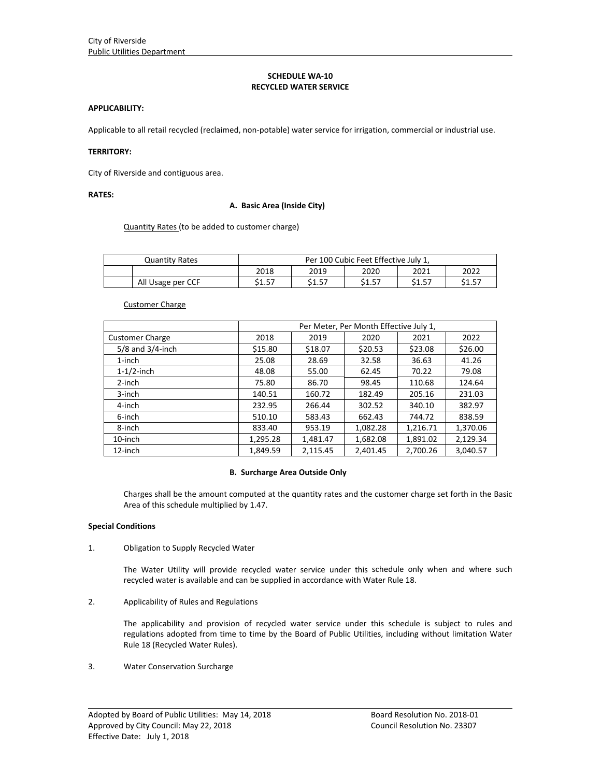## **SCHEDULE WA‐10 RECYCLED WATER SERVICE**

### **APPLICABILITY:**

Applicable to all retail recycled (reclaimed, non‐potable) water service for irrigation, commercial or industrial use.

## **TERRITORY:**

City of Riverside and contiguous area.

## **RATES:**

### **A. Basic Area (Inside City)**

Quantity Rates (to be added to customer charge)

| <b>Quantity Rates</b> | Per 100 Cubic Feet Effective July 1, |        |        |        |        |  |  |
|-----------------------|--------------------------------------|--------|--------|--------|--------|--|--|
|                       | 2018                                 | 2019   | 2020   | 2021   | 2022   |  |  |
| All Usage per CCF     | \$1.57                               | \$1.57 | \$1.57 | \$1.57 | \$1.57 |  |  |

## Customer Charge

|                        | Per Meter, Per Month Effective July 1, |          |          |          |          |  |  |
|------------------------|----------------------------------------|----------|----------|----------|----------|--|--|
| <b>Customer Charge</b> | 2018                                   | 2019     | 2020     | 2021     | 2022     |  |  |
| $5/8$ and $3/4$ -inch  | \$15.80                                | \$18.07  | \$20.53  | \$23.08  | \$26.00  |  |  |
| $1$ -inch              | 25.08                                  | 28.69    | 32.58    | 36.63    | 41.26    |  |  |
| $1-1/2$ -inch          | 48.08                                  | 55.00    | 62.45    | 70.22    | 79.08    |  |  |
| 2-inch                 | 75.80                                  | 86.70    | 98.45    | 110.68   | 124.64   |  |  |
| 3-inch                 | 140.51                                 | 160.72   | 182.49   | 205.16   | 231.03   |  |  |
| 4-inch                 | 232.95                                 | 266.44   | 302.52   | 340.10   | 382.97   |  |  |
| 6-inch                 | 510.10                                 | 583.43   | 662.43   | 744.72   | 838.59   |  |  |
| 8-inch                 | 833.40                                 | 953.19   | 1,082.28 | 1,216.71 | 1,370.06 |  |  |
| 10-inch                | 1,295.28                               | 1,481.47 | 1,682.08 | 1,891.02 | 2,129.34 |  |  |
| 12-inch                | 1,849.59                               | 2,115.45 | 2.401.45 | 2,700.26 | 3,040.57 |  |  |

#### **B. Surcharge Area Outside Only**

Charges shall be the amount computed at the quantity rates and the customer charge set forth in the Basic Area of this schedule multiplied by 1.47.

### **Special Conditions**

1. Obligation to Supply Recycled Water

The Water Utility will provide recycled water service under this schedule only when and where such recycled water is available and can be supplied in accordance with Water Rule 18.

2. Applicability of Rules and Regulations

The applicability and provision of recycled water service under this schedule is subject to rules and regulations adopted from time to time by the Board of Public Utilities, including without limitation Water Rule 18 (Recycled Water Rules).

<u> 1989 - Johann Stoff, amerikansk politiker (d. 1989)</u>

3. Water Conservation Surcharge